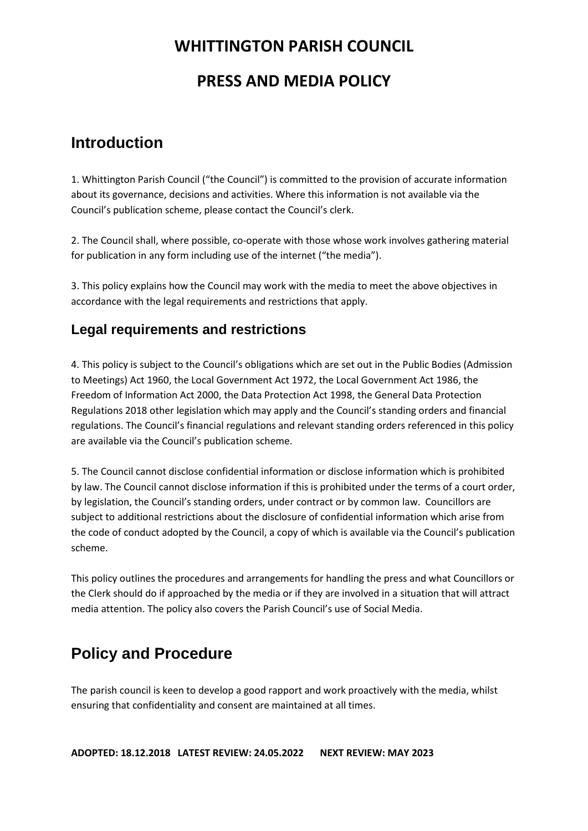# **PRESS AND MEDIA POLICY**

# **Introduction**

1. Whittington Parish Council ("the Council") is committed to the provision of accurate information about its governance, decisions and activities. Where this information is not available via the Council's publication scheme, please contact the Council's clerk.

2. The Council shall, where possible, co-operate with those whose work involves gathering material for publication in any form including use of the internet ("the media").

3. This policy explains how the Council may work with the media to meet the above objectives in accordance with the legal requirements and restrictions that apply.

### **Legal requirements and restrictions**

4. This policy is subject to the Council's obligations which are set out in the Public Bodies (Admission to Meetings) Act 1960, the Local Government Act 1972, the Local Government Act 1986, the Freedom of Information Act 2000, the Data Protection Act 1998, the General Data Protection Regulations 2018 other legislation which may apply and the Council's standing orders and financial regulations. The Council's financial regulations and relevant standing orders referenced in this policy are available via the Council's publication scheme.

5. The Council cannot disclose confidential information or disclose information which is prohibited by law. The Council cannot disclose information if this is prohibited under the terms of a court order, by legislation, the Council's standing orders, under contract or by common law. Councillors are subject to additional restrictions about the disclosure of confidential information which arise from the code of conduct adopted by the Council, a copy of which is available via the Council's publication scheme.

This policy outlines the procedures and arrangements for handling the press and what Councillors or the Clerk should do if approached by the media or if they are involved in a situation that will attract media attention. The policy also covers the Parish Council's use of Social Media.

# **Policy and Procedure**

The parish council is keen to develop a good rapport and work proactively with the media, whilst ensuring that confidentiality and consent are maintained at all times.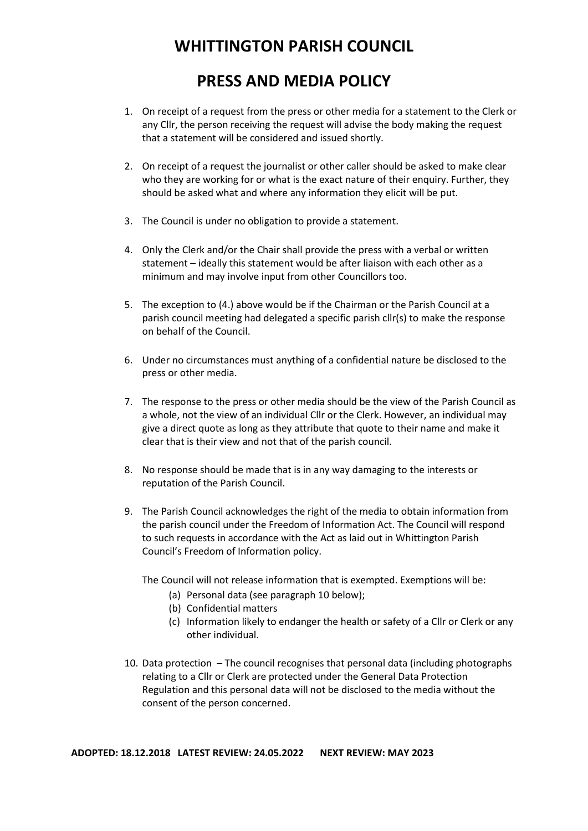# **PRESS AND MEDIA POLICY**

- 1. On receipt of a request from the press or other media for a statement to the Clerk or any Cllr, the person receiving the request will advise the body making the request that a statement will be considered and issued shortly.
- 2. On receipt of a request the journalist or other caller should be asked to make clear who they are working for or what is the exact nature of their enquiry. Further, they should be asked what and where any information they elicit will be put.
- 3. The Council is under no obligation to provide a statement.
- 4. Only the Clerk and/or the Chair shall provide the press with a verbal or written statement – ideally this statement would be after liaison with each other as a minimum and may involve input from other Councillors too.
- 5. The exception to (4.) above would be if the Chairman or the Parish Council at a parish council meeting had delegated a specific parish cllr(s) to make the response on behalf of the Council.
- 6. Under no circumstances must anything of a confidential nature be disclosed to the press or other media.
- 7. The response to the press or other media should be the view of the Parish Council as a whole, not the view of an individual Cllr or the Clerk. However, an individual may give a direct quote as long as they attribute that quote to their name and make it clear that is their view and not that of the parish council.
- 8. No response should be made that is in any way damaging to the interests or reputation of the Parish Council.
- 9. The Parish Council acknowledges the right of the media to obtain information from the parish council under the Freedom of Information Act. The Council will respond to such requests in accordance with the Act as laid out in Whittington Parish Council's Freedom of Information policy.

The Council will not release information that is exempted. Exemptions will be:

- (a) Personal data (see paragraph 10 below);
- (b) Confidential matters
- (c) Information likely to endanger the health or safety of a Cllr or Clerk or any other individual.
- 10. Data protection The council recognises that personal data (including photographs relating to a Cllr or Clerk are protected under the General Data Protection Regulation and this personal data will not be disclosed to the media without the consent of the person concerned.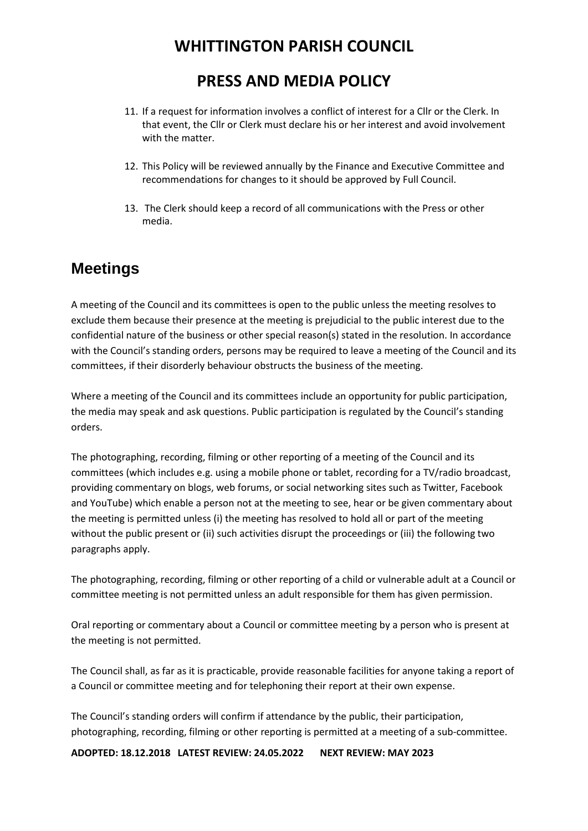# **PRESS AND MEDIA POLICY**

- 11. If a request for information involves a conflict of interest for a Cllr or the Clerk. In that event, the Cllr or Clerk must declare his or her interest and avoid involvement with the matter.
- 12. This Policy will be reviewed annually by the Finance and Executive Committee and recommendations for changes to it should be approved by Full Council.
- 13. The Clerk should keep a record of all communications with the Press or other media.

## **Meetings**

A meeting of the Council and its committees is open to the public unless the meeting resolves to exclude them because their presence at the meeting is prejudicial to the public interest due to the confidential nature of the business or other special reason(s) stated in the resolution. In accordance with the Council's standing orders, persons may be required to leave a meeting of the Council and its committees, if their disorderly behaviour obstructs the business of the meeting.

Where a meeting of the Council and its committees include an opportunity for public participation, the media may speak and ask questions. Public participation is regulated by the Council's standing orders.

The photographing, recording, filming or other reporting of a meeting of the Council and its committees (which includes e.g. using a mobile phone or tablet, recording for a TV/radio broadcast, providing commentary on blogs, web forums, or social networking sites such as Twitter, Facebook and YouTube) which enable a person not at the meeting to see, hear or be given commentary about the meeting is permitted unless (i) the meeting has resolved to hold all or part of the meeting without the public present or (ii) such activities disrupt the proceedings or (iii) the following two paragraphs apply.

The photographing, recording, filming or other reporting of a child or vulnerable adult at a Council or committee meeting is not permitted unless an adult responsible for them has given permission.

Oral reporting or commentary about a Council or committee meeting by a person who is present at the meeting is not permitted.

The Council shall, as far as it is practicable, provide reasonable facilities for anyone taking a report of a Council or committee meeting and for telephoning their report at their own expense.

The Council's standing orders will confirm if attendance by the public, their participation, photographing, recording, filming or other reporting is permitted at a meeting of a sub‐committee.

**ADOPTED: 18.12.2018 LATEST REVIEW: 24.05.2022 NEXT REVIEW: MAY 2023**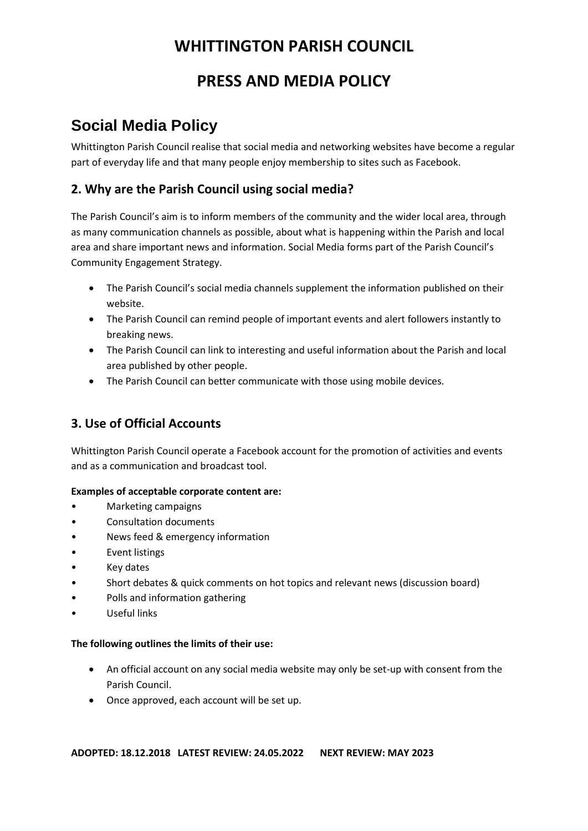# **PRESS AND MEDIA POLICY**

# **Social Media Policy**

Whittington Parish Council realise that social media and networking websites have become a regular part of everyday life and that many people enjoy membership to sites such as Facebook.

### **2. Why are the Parish Council using social media?**

The Parish Council's aim is to inform members of the community and the wider local area, through as many communication channels as possible, about what is happening within the Parish and local area and share important news and information. Social Media forms part of the Parish Council's Community Engagement Strategy.

- The Parish Council's social media channels supplement the information published on their website.
- The Parish Council can remind people of important events and alert followers instantly to breaking news.
- The Parish Council can link to interesting and useful information about the Parish and local area published by other people.
- The Parish Council can better communicate with those using mobile devices.

### **3. Use of Official Accounts**

Whittington Parish Council operate a Facebook account for the promotion of activities and events and as a communication and broadcast tool.

#### **Examples of acceptable corporate content are:**

- Marketing campaigns
- Consultation documents
- News feed & emergency information
- Event listings
- **Key dates**
- Short debates & quick comments on hot topics and relevant news (discussion board)
- Polls and information gathering
- Useful links

#### **The following outlines the limits of their use:**

- An official account on any social media website may only be set-up with consent from the Parish Council.
- Once approved, each account will be set up.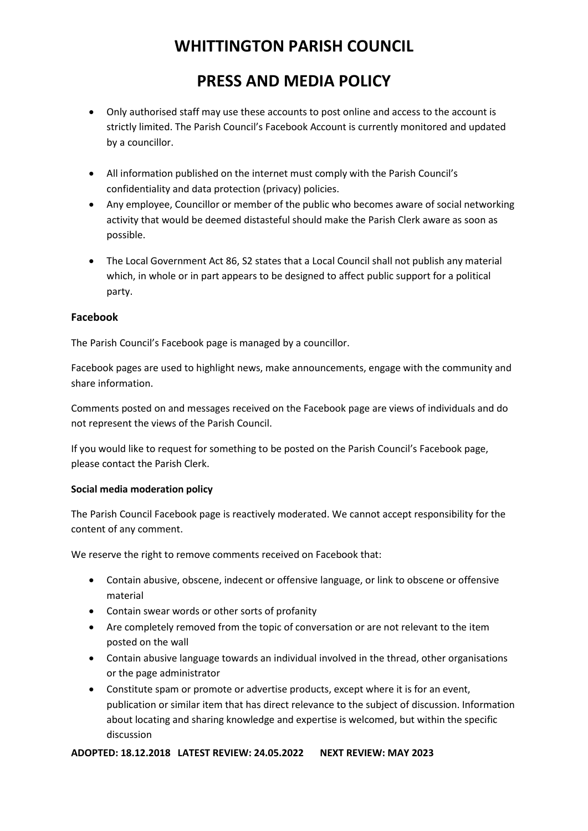# **PRESS AND MEDIA POLICY**

- Only authorised staff may use these accounts to post online and access to the account is strictly limited. The Parish Council's Facebook Account is currently monitored and updated by a councillor.
- All information published on the internet must comply with the Parish Council's confidentiality and data protection (privacy) policies.
- Any employee, Councillor or member of the public who becomes aware of social networking activity that would be deemed distasteful should make the Parish Clerk aware as soon as possible.
- The Local Government Act 86, S2 states that a Local Council shall not publish any material which, in whole or in part appears to be designed to affect public support for a political party.

#### **Facebook**

The Parish Council's Facebook page is managed by a councillor.

Facebook pages are used to highlight news, make announcements, engage with the community and share information.

Comments posted on and messages received on the Facebook page are views of individuals and do not represent the views of the Parish Council.

If you would like to request for something to be posted on the Parish Council's Facebook page, please contact the Parish Clerk.

#### **Social media moderation policy**

The Parish Council Facebook page is reactively moderated. We cannot accept responsibility for the content of any comment.

We reserve the right to remove comments received on Facebook that:

- Contain abusive, obscene, indecent or offensive language, or link to obscene or offensive material
- Contain swear words or other sorts of profanity
- Are completely removed from the topic of conversation or are not relevant to the item posted on the wall
- Contain abusive language towards an individual involved in the thread, other organisations or the page administrator
- Constitute spam or promote or advertise products, except where it is for an event, publication or similar item that has direct relevance to the subject of discussion. Information about locating and sharing knowledge and expertise is welcomed, but within the specific discussion

#### **ADOPTED: 18.12.2018 LATEST REVIEW: 24.05.2022 NEXT REVIEW: MAY 2023**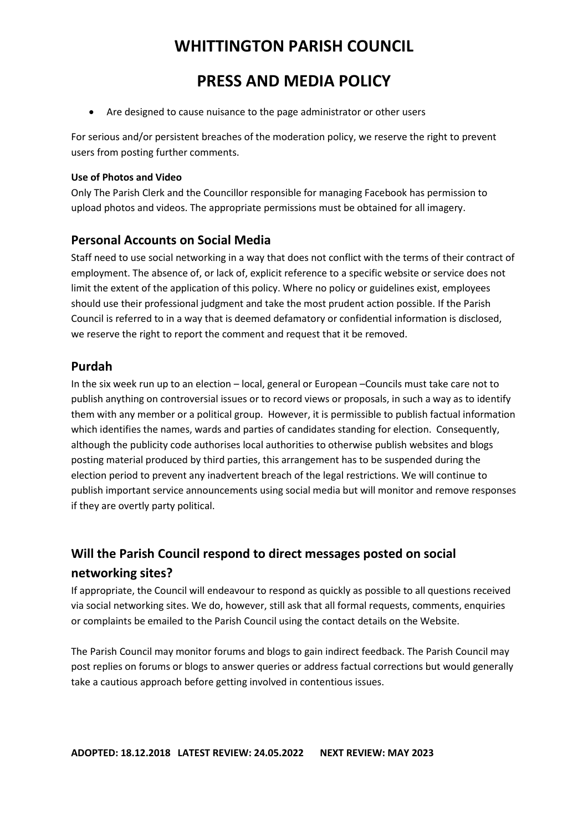## **PRESS AND MEDIA POLICY**

• Are designed to cause nuisance to the page administrator or other users

For serious and/or persistent breaches of the moderation policy, we reserve the right to prevent users from posting further comments.

#### **Use of Photos and Video**

Only The Parish Clerk and the Councillor responsible for managing Facebook has permission to upload photos and videos. The appropriate permissions must be obtained for all imagery.

#### **Personal Accounts on Social Media**

Staff need to use social networking in a way that does not conflict with the terms of their contract of employment. The absence of, or lack of, explicit reference to a specific website or service does not limit the extent of the application of this policy. Where no policy or guidelines exist, employees should use their professional judgment and take the most prudent action possible. If the Parish Council is referred to in a way that is deemed defamatory or confidential information is disclosed, we reserve the right to report the comment and request that it be removed.

#### **Purdah**

In the six week run up to an election – local, general or European –Councils must take care not to publish anything on controversial issues or to record views or proposals, in such a way as to identify them with any member or a political group. However, it is permissible to publish factual information which identifies the names, wards and parties of candidates standing for election. Consequently, although the publicity code authorises local authorities to otherwise publish websites and blogs posting material produced by third parties, this arrangement has to be suspended during the election period to prevent any inadvertent breach of the legal restrictions. We will continue to publish important service announcements using social media but will monitor and remove responses if they are overtly party political.

### **Will the Parish Council respond to direct messages posted on social networking sites?**

If appropriate, the Council will endeavour to respond as quickly as possible to all questions received via social networking sites. We do, however, still ask that all formal requests, comments, enquiries or complaints be emailed to the Parish Council using the contact details on the Website.

The Parish Council may monitor forums and blogs to gain indirect feedback. The Parish Council may post replies on forums or blogs to answer queries or address factual corrections but would generally take a cautious approach before getting involved in contentious issues.